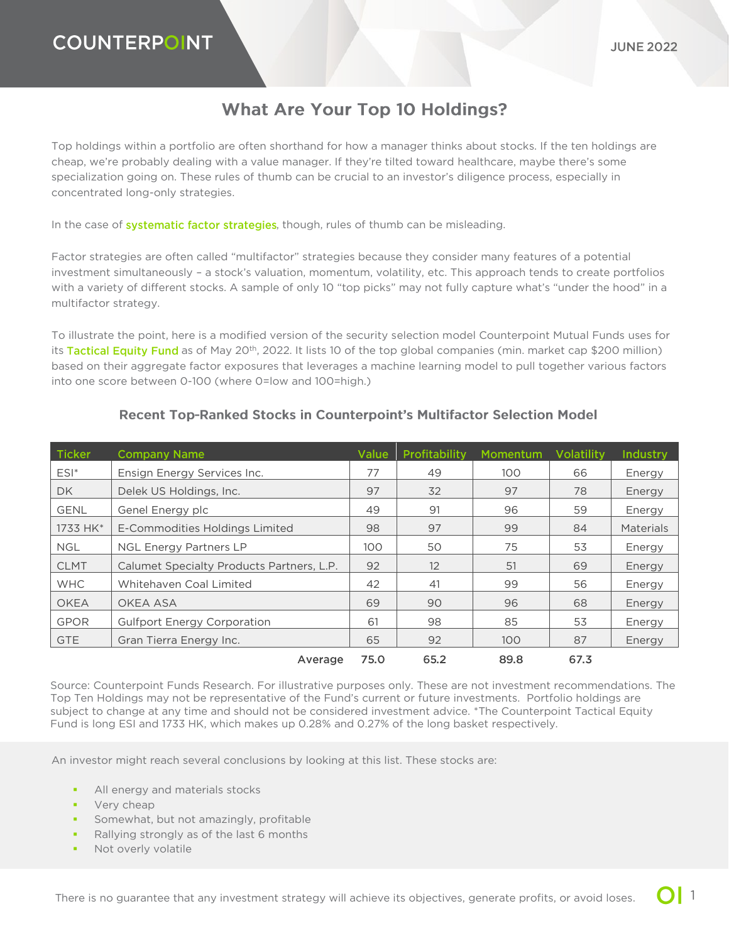## **What Are Your Top 10 Holdings?**

Top holdings within a portfolio are often shorthand for how a manager thinks about stocks. If the ten holdings are cheap, we're probably dealing with a value manager. If they're tilted toward healthcare, maybe there's some specialization going on. These rules of thumb can be crucial to an investor's diligence process, especially in concentrated long-only strategies.

In the case of **systematic factor strategies**, though, rules of thumb can be misleading.

Factor strategies are often called "multifactor" strategies because they consider many features of a potential investment simultaneously – a stock's valuation, momentum, volatility, etc. This approach tends to create portfolios with a variety of different stocks. A sample of only 10 "top picks" may not fully capture what's "under the hood" in a multifactor strategy.

To illustrate the point, here is a modified version of the security selection model Counterpoint Mutual Funds uses for itsTactical Equity Fund as of May 20<sup>th</sup>, 2022. It lists 10 of the top global companies (min. market cap \$200 million) based on their aggregate factor exposures that leverages a machine learning model to pull together various factors into one score between 0-100 (where 0=low and 100=high.)

| <b>Ticker</b> | <b>Company Name</b>                       | Value | Profitability | <b>Momentum</b> | Volatility | <b>Industry</b>  |
|---------------|-------------------------------------------|-------|---------------|-----------------|------------|------------------|
| $ESI^*$       | Ensign Energy Services Inc.               | 77    | 49            | 100             | 66         | Energy           |
| DK.           | Delek US Holdings, Inc.                   | 97    | 32            | 97              | 78         | Energy           |
| <b>GENL</b>   | Genel Energy plc                          | 49    | 91            | 96              | 59         | Energy           |
| 1733 HK*      | E-Commodities Holdings Limited            | 98    | 97            | 99              | 84         | <b>Materials</b> |
| <b>NGL</b>    | <b>NGL Energy Partners LP</b>             | 100   | 50            | 75              | 53         | Energy           |
| <b>CLMT</b>   | Calumet Specialty Products Partners, L.P. | 92    | 12            | 51              | 69         | Energy           |
| <b>WHC</b>    | Whitehaven Coal Limited                   | 42    | 41            | 99              | 56         | Energy           |
| <b>OKEA</b>   | OKEA ASA                                  | 69    | 90            | 96              | 68         | Energy           |
| <b>GPOR</b>   | <b>Gulfport Energy Corporation</b>        | 61    | 98            | 85              | 53         | Energy           |
| <b>GTE</b>    | Gran Tierra Energy Inc.                   | 65    | 92            | 100             | 87         | Energy           |
|               | Average                                   | 75.0  | 65.2          | 89.8            | 67.3       |                  |

#### Recent Top-Ranked Stocks in Counterpoint's Multifactor Selection Model

Source: Counterpoint Funds Research. For illustrative purposes only. These are not investment recommendations. The Top Ten Holdings may not be representative of the Fund's current or future investments. Portfolio holdings are subject to change at any time and should not be considered investment advice. \*The Counterpoint Tactical Equity Fund is long ESI and 1733 HK, which makes up 0.28% and 0.27% of the long basket respectively.

An investor might reach several conclusions by looking at this list. These stocks are:

- All energy and materials stocks
- Very cheap
- **•** Somewhat, but not amazingly, profitable
- Rallying strongly as of the last 6 months
- Not overly volatile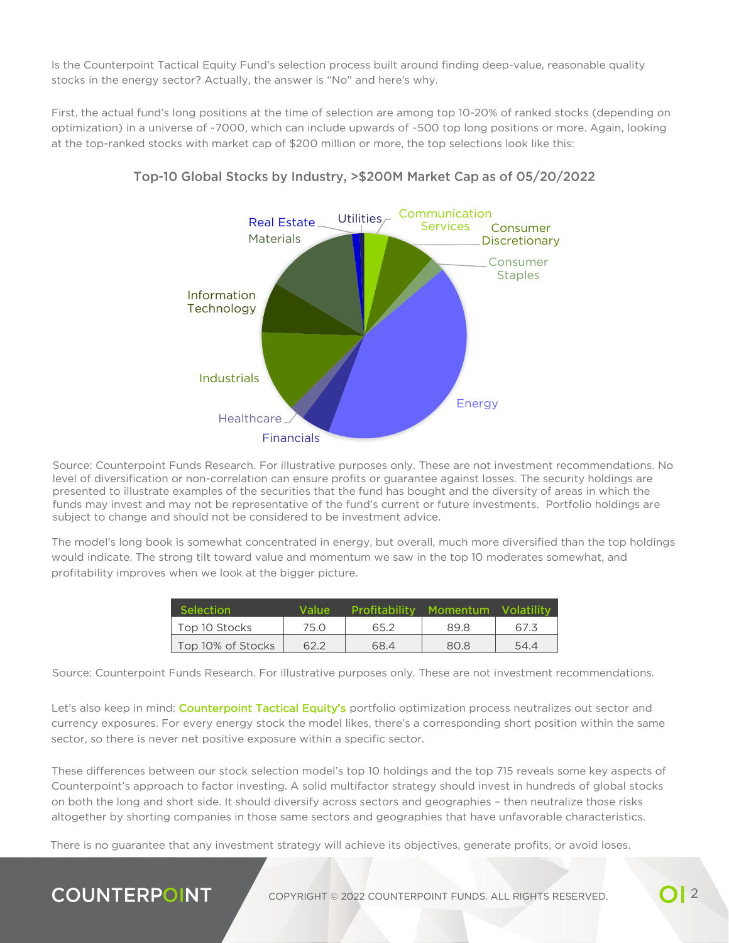Is the Counterpoint Tactical Equity Fund's selection process built around finding deep-value, reasonable quality stocks in the energy sector? Actually, the answer is "No" and here's why.

First, the actual fund's long positions at the time of selection are among top 10-20% of ranked stocks (depending on optimization) in a universe of ~7000, which can include upwards of ~500 top long positions or more. Again, looking at the top-ranked stocks with market cap of \$200 million or more, the top selections look like this:



### Top-10 Global Stocks by Industry, >\$200M Market Cap as of 05/20/2022

Source: Counterpoint Funds Research. For illustrative purposes only. These are not investment recommendations. No level of diversification or non-correlation can ensure profits or guarantee against losses. The security holdings are presented to illustrate examples of the securities that the fund has bought and the diversity of areas in which the funds may invest and may not be representative of the fund's current or future investments. Portfolio holdings are subject to change and should not be considered to be investment advice.

The model's long book is somewhat concentrated in energy, but overall, much more diversified than the top holdings would indicate. The strong tilt toward value and momentum we saw in the top 10 moderates somewhat, and profitability improves when we look at the bigger picture.

| <b>Selection</b>  | Value | <b>Profitability</b> | Momentum | <b>Volatility</b> |
|-------------------|-------|----------------------|----------|-------------------|
| Top 10 Stocks     | 75.0  | 65.2                 | 89.8     | 67.3              |
| Top 10% of Stocks | 62.2  | 68.4                 | 80.8     | 54.4              |

Source: Counterpoint Funds Research. For illustrative purposes only. These are not investment recommendations.

Let's also keep in mind: [Counterpoint Tactical Equity's](https://counterpointfunds.com/tactical-equity-fund/) portfolio optimization process neutralizes out sector and currency exposures. For every energy stock the model likes, there's a corresponding short position within the same sector, so there is never net positive exposure within a specific sector.

These differences between our stock selection model's top 10 holdings and the top 715 reveals some key aspects of Counterpoint's approach to factor investing. A solid multifactor strategy should invest in hundreds of global stocks on both the long and short side. It should diversify across sectors and geographies – then neutralize those risks altogether by shorting companies in those same sectors and geographies that have unfavorable characteristics.

There is no guarantee that any investment strategy will achieve its objectives, generate profits, or avoid loses.

# **COUNTERPOINT**